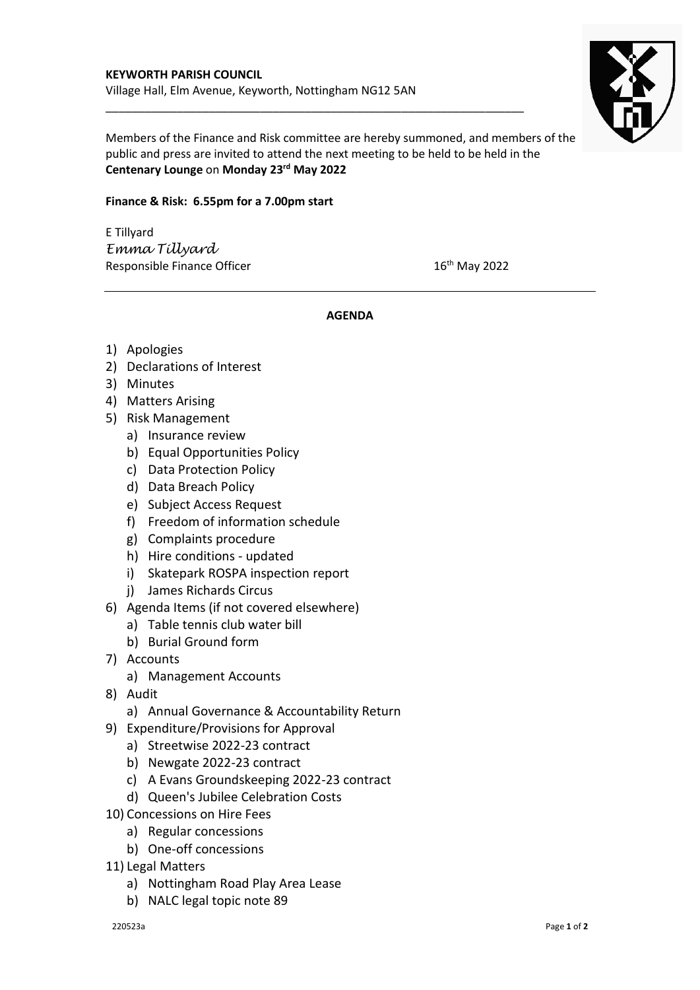

Members of the Finance and Risk committee are hereby summoned, and members of the public and press are invited to attend the next meeting to be held to be held in the **Centenary Lounge** on **Monday 23rd May 2022**

\_\_\_\_\_\_\_\_\_\_\_\_\_\_\_\_\_\_\_\_\_\_\_\_\_\_\_\_\_\_\_\_\_\_\_\_\_\_\_\_\_\_\_\_\_\_\_\_\_\_\_\_\_\_\_\_\_\_\_\_\_\_\_\_\_

## **Finance & Risk: 6.55pm for a 7.00pm start**

E Tillyard *Emma Tillyard* Responsible Finance Officer  $16<sup>th</sup>$  May 2022

## **AGENDA**

- 1) Apologies
- 2) Declarations of Interest
- 3) Minutes
- 4) Matters Arising
- 5) Risk Management
	- a) Insurance review
	- b) Equal Opportunities Policy
	- c) Data Protection Policy
	- d) Data Breach Policy
	- e) Subject Access Request
	- f) Freedom of information schedule
	- g) Complaints procedure
	- h) Hire conditions updated
	- i) Skatepark ROSPA inspection report
	- j) James Richards Circus
- 6) Agenda Items (if not covered elsewhere)
	- a) Table tennis club water bill
	- b) Burial Ground form
- 7) Accounts
	- a) Management Accounts
- 8) Audit
	- a) Annual Governance & Accountability Return
- 9) Expenditure/Provisions for Approval
	- a) Streetwise 2022-23 contract
	- b) Newgate 2022-23 contract
	- c) A Evans Groundskeeping 2022-23 contract
	- d) Queen's Jubilee Celebration Costs
- 10) Concessions on Hire Fees
	- a) Regular concessions
	- b) One-off concessions
- 11) Legal Matters
	- a) Nottingham Road Play Area Lease
	- b) NALC legal topic note 89